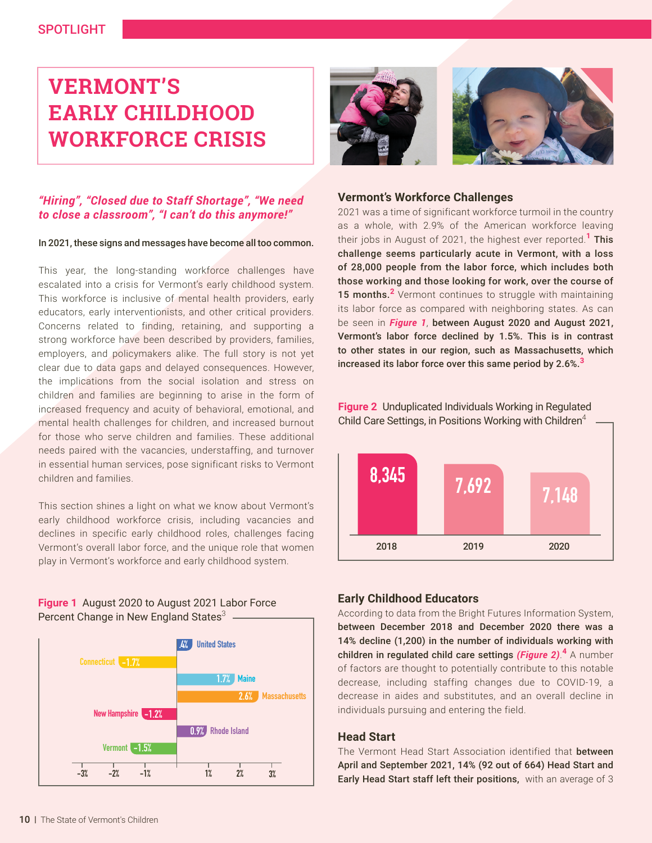## SPOTLIGHT

# **VERMONT'S EARLY CHILDHOOD WORKFORCE CRISIS**

### *"Hiring", "Closed due to Staff Shortage", "We need to close a classroom", "I can't do this anymore!"*

#### In 2021, these signs and messages have become all too common.

This year, the long-standing workforce challenges have escalated into a crisis for Vermont's early childhood system. This workforce is inclusive of mental health providers, early educators, early interventionists, and other critical providers. Concerns related to finding, retaining, and supporting a strong workforce have been described by providers, families, employers, and policymakers alike. The full story is not yet clear due to data gaps and delayed consequences. However, the implications from the social isolation and stress on children and families are beginning to arise in the form of increased frequency and acuity of behavioral, emotional, and mental health challenges for children, and increased burnout for those who serve children and families. These additional needs paired with the vacancies, understaffing, and turnover in essential human services, pose significant risks to Vermont children and families.

This section shines a light on what we know about Vermont's early childhood workforce crisis, including vacancies and declines in specific early childhood roles, challenges facing Vermont's overall labor force, and the unique role that women play in Vermont's workforce and early childhood system.

#### **Figure 1** August 2020 to August 2021 Labor Force Percent Change in New England States<sup>3</sup>





#### **Vermont's Workforce Challenges**

2021 was a time of significant workforce turmoil in the country as a whole, with 2.9% of the American workforce leaving their jobs in August of 2021, the highest ever reported.**<sup>1</sup>** This challenge seems particularly acute in Vermont, with a loss of 28,000 people from the labor force, which includes both those working and those looking for work, over the course of 15 months.<sup>2</sup> Vermont continues to struggle with maintaining its labor force as compared with neighboring states. As can be seen in *Figure 1*, between August 2020 and August 2021, Vermont's labor force declined by 1.5%. This is in contrast to other states in our region, such as Massachusetts, which increased its labor force over this same period by 2.6%.**<sup>3</sup>**

**Figure 2** Unduplicated Individuals Working in Regulated Child Care Settings, in Positions Working with Children<sup>4</sup>



#### **Early Childhood Educators**

According to data from the Bright Futures Information System, between December 2018 and December 2020 there was a 14% decline (1,200) in the number of individuals working with children in regulated child care settings *(Figure 2)*. **<sup>4</sup>** A number of factors are thought to potentially contribute to this notable decrease, including staffing changes due to COVID-19, a decrease in aides and substitutes, and an overall decline in individuals pursuing and entering the field.

#### **Head Start**

The Vermont Head Start Association identified that **between** April and September 2021, 14% (92 out of 664) Head Start and Early Head Start staff left their positions, with an average of 3